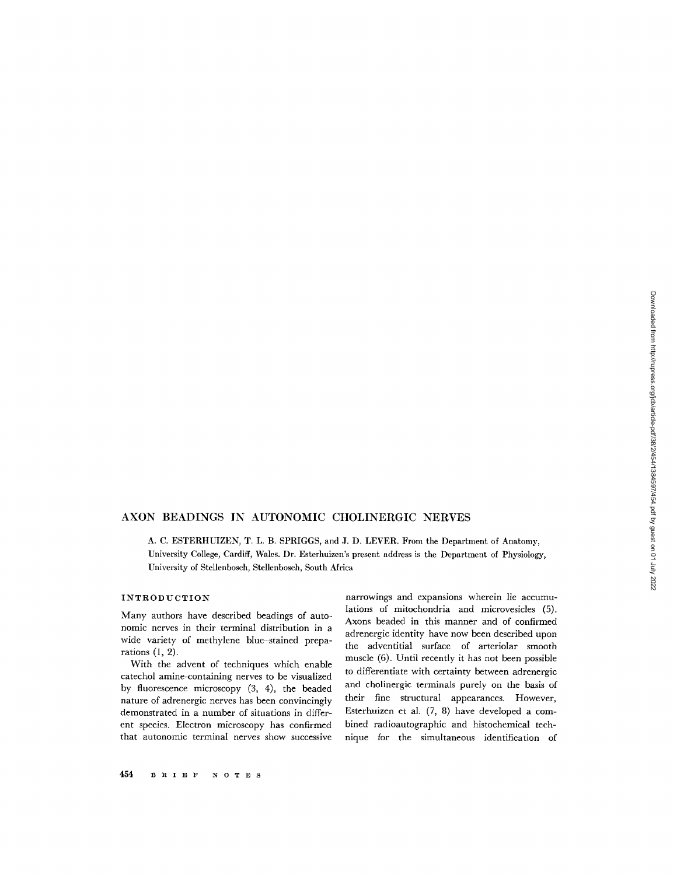# AXON BEADINGS IN AUTONOMIC CHOLINERGIC NERVES

A. C. ESTERHUIZEN, T. L. B. SPRIGGS, and J. D. LEVER. From the Department of Anatomy, University College, Cardiff, Wales. Dr. Esterhuizen's present address is the Department of Physiology, University of Stellenbosch, Stellenbosch, South Africa

### INTRODUCTION

Many authors have described beadings of autonomic nerves in their terminal distribution in a wide variety of methylene blue-stained preparations (1, 2).

With the advent of techniques which enable catechol amine-containing nerves to be visualized by fluorescence microscopy (3, 4), the beaded nature of adrenergic nerves has been convincingly demonstrated in a number of situations in different species. Electron microscopy has confirmed that autonomic terminal nerves show successive

narrowings and expansions wherein lie accumulations of mitochondria and microvesicles (5). Axons beaded in this manner and of confirmed adrenergic identity have now been described upon the adventitial surface of arteriolar smooth muscle (6). Until recently it has not been possible to differentiate with certainty between adrenergic and cholinergic terminals purely on the basis of their fine structural appearances. However, Esterhuizen et al. (7, 8) have developed a combined radioautographic and histochemical technique for the simultaneous identification of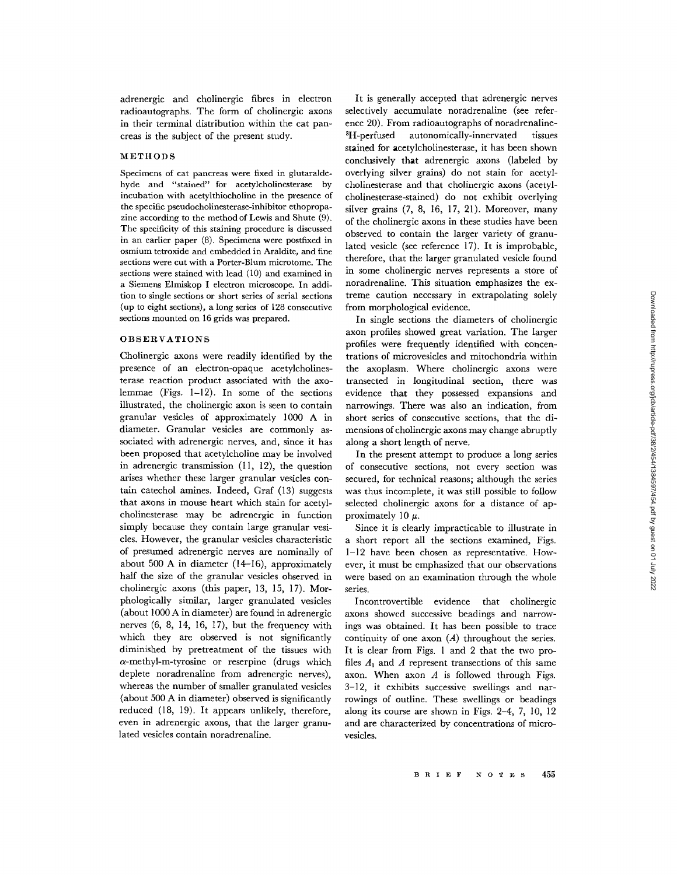adrenergic and cholinergic fibres in electron radioautographs. The form of cholinergic axons in their terminal distribution within the cat pancreas is the subject of the present study.

#### METHODS

Specimens of cat pancreas were fixed in glutaraldehyde and "stained" for acetylcholinesterase by incubation with acetylthiocholine in the presence of the specific pseudocholinesterase-inhibitor ethopropazinc according to the method of Lewis and Shute (9). The specificity of this staining procedure is discussed in an earlier paper (8). Specimens were postfixed in osmium tetroxide and embedded in Araldite, and fine sections were cut with a Porter-Blum microtome. The sections were stained with lead (10) and examined in a Siemens Elmiskop I electron microscope. In addition to single sections or short series of serial sections (up to eight sections), a long series of 128 consecutive sections mounted on 16 grids was prepared.

## OBSERVATIONS

Cholinergic axons were readily identified by the presence of an electron-opaque acetylcholinesterase reaction product associated with the axolemmae (Figs. 1-12). In some of the sections illustrated, the cholinergic axon is seen to contain granular vesicles of approximately 1000 A in diameter. Granular vesicles are commonly associated with adrenergic nerves, and, since it has been proposed that acetylcholine may be involved in adrenergic transmission (11, 12), the question arises whether these larger granular vesicles contain catechol amines. Indeed, Graf (13) suggests that axons in mouse heart which stain for acetylcholinesterase may be adrenergic in function simply because they contain large granular vesicles. However, the granular vesicles characteristic of presumed adrenergic nerves are nominally of about 500 A in diameter (14-16), approximately half the size of the granular vesicles observed in cholinergic axons (this paper, 13, 15, 17). Morphologically similar, larger granulated vesicles (about 1000 A in diameter) are found in adrenergic nerves (6, 8, 14, 16, 17), but the frequency with which they are observed is not significantly diminished by pretreatment of the tissues with  $\alpha$ -methyl-m-tyrosine or reserpine (drugs which deplete noradrenaline from adrenergic nerves), whereas the number of smaller granulated vesicles (about 500 A in diameter) observed is significantly reduced (18, 19). It appears unlikely, therefore, even in adrenergic axons, that the larger granulated vesicles contain noradrenaline.

It is generally accepted that adrenergic nerves selectively accumulate noradrenaline (see reference 20). From radioautographs of noradrenaline-<sup>3</sup>H-perfused autonomically-innervated tissues stained for acetylcholinesterase, it has been shown conclusively that adrenergic axons (labeled by overlying silver grains) do not stain for acetylcholinesterase and that cholinergic axons (acetylcholinesterase-stained) do not exhibit overlying silver grains (7, 8, 16, 17, 21). Moreover, many of the cholinergic axons in these studies have been observed to contain the larger variety of granulated vesicle (see reference 17). It is improbable, therefore, that the larger granulated vesicle found in some cholinergic nerves represents a store of noradrenaline. This situation emphasizes the extreme caution necessary in extrapolating solely from morphological evidence.

In single sections the diameters of cholinergic axon profiles showed great variation. The larger profiles were frequently identified with concentrations of microvesicles and mitochondria within the axoplasm. Where cholinergic axons were transected in longitudinal section, there was evidence that they possessed expansions and narrowings. There was also an indication, from short series of consecutive sections, that the dimensions of cholinergic axons may change abruptly along a short length of nerve.

In the present attempt to produce a long series of consecutive sections, not every section was secured, for technical reasons; although the series was thus incomplete, it was still possible to follow selected cholinergic axons for a distance of approximately 10  $\mu$ .

Since it is clearly impracticable to illustrate in a short report all the sections examined, Figs. 1-12 have been chosen as representative. However, it must be emphasized that our observations were based on an examination through the whole series.

Incontrovertible evidence that cholinergic axons showed successive beadings and narrowings was obtained. It has been possible to trace continuity of one axon *(A)* throughout the series. It is clear from Figs. 1 and 2 that the two profiles *A,* and *A* represent transections of this same axon. When axon *A* is followed through Figs. 3-12, it exhibits successive swellings and narrowings of outline. These swellings or beadings along its course are shown in Figs. 2-4, 7, 10, 12 and are characterized by concentrations of microvesicles.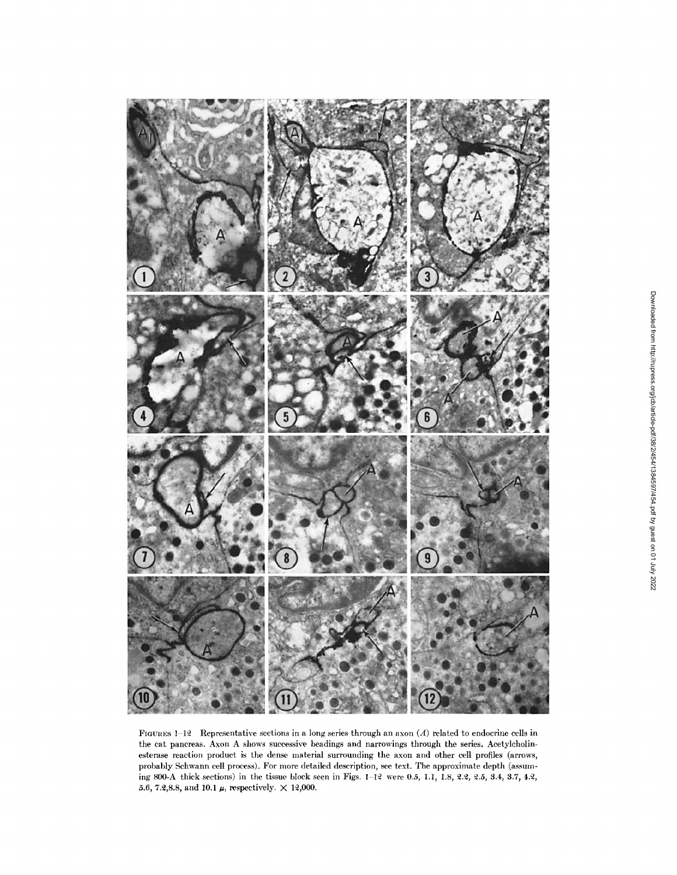

FiGURES 1-12 Representative sections in a long series through an axon *(A)* related to endocrine cells in the cat pancreas. Axon A shows successive beadings and narrowings through the series. Acetylcholinesterase reaction product is the dense material surrounding the axon and other cell profiles (arrows, probably Schwann cell process). For more detailed description, see text. The approximate depth (assuming 800-A thick sections) in the tissue block seen in Figs.  $1-12$  were 0.5, 1.1, 1.8, 2.2, 2.5, 3.4, 3.7, 4.2, 5.6, 7.2,8.8, and 10.1  $\mu$ , respectively.  $\times$  12,000.